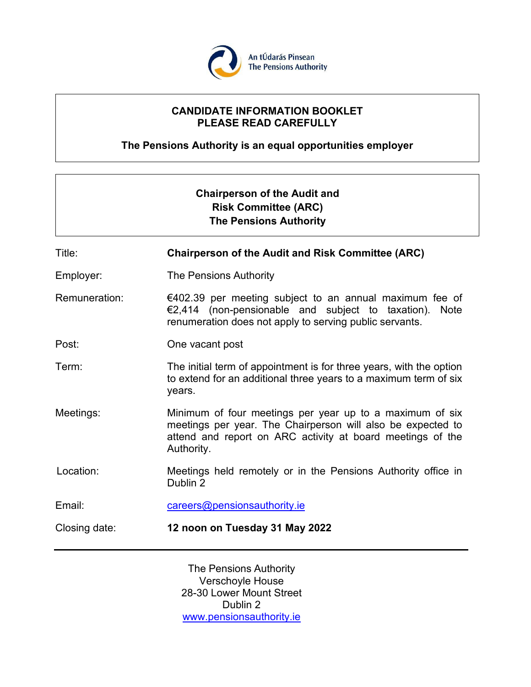

# **CANDIDATE INFORMATION BOOKLET PLEASE READ CAREFULLY**

**The Pensions Authority is an equal opportunities employer**

| <b>Chairperson of the Audit and</b><br><b>Risk Committee (ARC)</b><br><b>The Pensions Authority</b> |                                                                                                                                                                                                     |
|-----------------------------------------------------------------------------------------------------|-----------------------------------------------------------------------------------------------------------------------------------------------------------------------------------------------------|
| Title:                                                                                              | <b>Chairperson of the Audit and Risk Committee (ARC)</b>                                                                                                                                            |
| Employer:                                                                                           | The Pensions Authority                                                                                                                                                                              |
| Remuneration:                                                                                       | €402.39 per meeting subject to an annual maximum fee of<br>€2,414 (non-pensionable and subject to taxation).<br>Note<br>renumeration does not apply to serving public servants.                     |
| Post:                                                                                               | One vacant post                                                                                                                                                                                     |
| Term:                                                                                               | The initial term of appointment is for three years, with the option<br>to extend for an additional three years to a maximum term of six<br>years.                                                   |
| Meetings:                                                                                           | Minimum of four meetings per year up to a maximum of six<br>meetings per year. The Chairperson will also be expected to<br>attend and report on ARC activity at board meetings of the<br>Authority. |
| Location:                                                                                           | Meetings held remotely or in the Pensions Authority office in<br>Dublin 2                                                                                                                           |
| Email:                                                                                              | careers@pensionsauthority.ie                                                                                                                                                                        |
| Closing date:                                                                                       | 12 noon on Tuesday 31 May 2022                                                                                                                                                                      |

The Pensions Authority Verschoyle House 28-30 Lower Mount Street Dublin 2 [www.pensionsauthority.ie](http://www.pensionsauthority.ie/)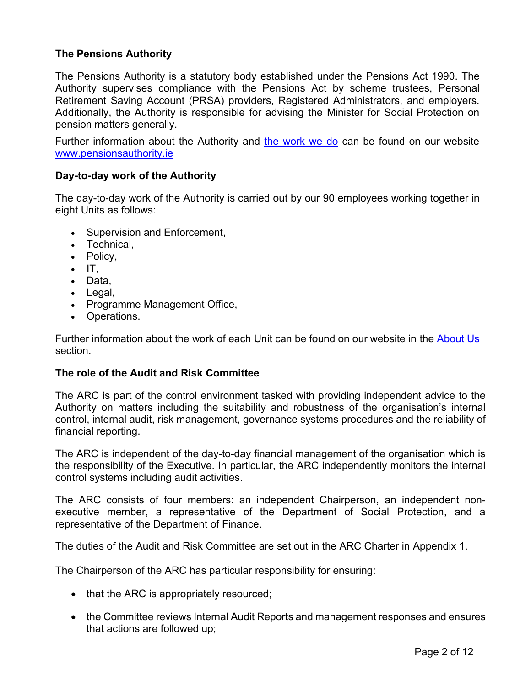# **The Pensions Authority**

The Pensions Authority is a statutory body established under the Pensions Act 1990. The Authority supervises compliance with the Pensions Act by scheme trustees, Personal Retirement Saving Account (PRSA) providers, Registered Administrators, and employers. Additionally, the Authority is responsible for advising the Minister for Social Protection on pension matters generally.

Further information about the Authority and [the work we do](https://www.pensionsauthority.ie/en/About_Us) can be found on our website [www.pensionsauthority.ie](http://www.pensionsauthority.ie/)

## **Day-to-day work of the Authority**

The day-to-day work of the Authority is carried out by our 90 employees working together in eight Units as follows:

- Supervision and Enforcement,
- Technical,
- Policy,
- $\bullet$  IT.
- Data,
- Legal,
- Programme Management Office,
- Operations.

Further information about the work of each Unit can be found on our website in the [About](https://www.pensionsauthority.ie/en/About_Us/Organisational_structure/) Us section.

#### **The role of the Audit and Risk Committee**

The ARC is part of the control environment tasked with providing independent advice to the Authority on matters including the suitability and robustness of the organisation's internal control, internal audit, risk management, governance systems procedures and the reliability of financial reporting.

The ARC is independent of the day-to-day financial management of the organisation which is the responsibility of the Executive. In particular, the ARC independently monitors the internal control systems including audit activities.

The ARC consists of four members: an independent Chairperson, an independent nonexecutive member, a representative of the Department of Social Protection, and a representative of the Department of Finance.

The duties of the Audit and Risk Committee are set out in the ARC Charter in Appendix 1.

The Chairperson of the ARC has particular responsibility for ensuring:

- that the ARC is appropriately resourced;
- the Committee reviews Internal Audit Reports and management responses and ensures that actions are followed up;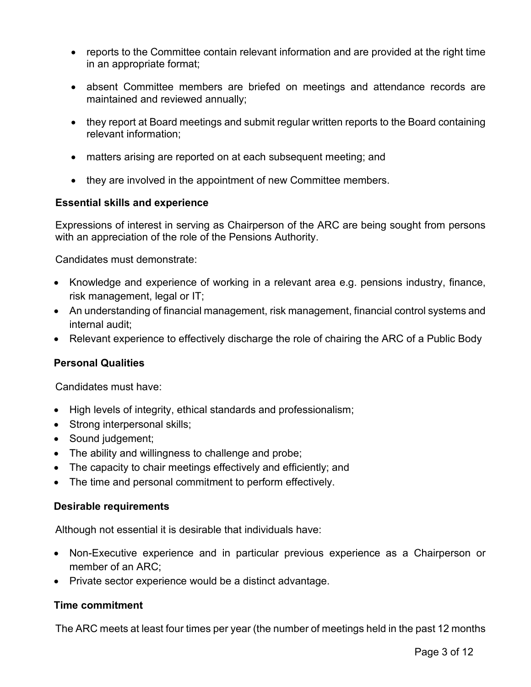- reports to the Committee contain relevant information and are provided at the right time in an appropriate format;
- absent Committee members are briefed on meetings and attendance records are maintained and reviewed annually;
- they report at Board meetings and submit regular written reports to the Board containing relevant information;
- matters arising are reported on at each subsequent meeting; and
- they are involved in the appointment of new Committee members.

## **Essential skills and experience**

Expressions of interest in serving as Chairperson of the ARC are being sought from persons with an appreciation of the role of the Pensions Authority.

Candidates must demonstrate:

- Knowledge and experience of working in a relevant area e.g. pensions industry, finance, risk management, legal or IT;
- An understanding of financial management, risk management, financial control systems and internal audit;
- Relevant experience to effectively discharge the role of chairing the ARC of a Public Body

## **Personal Qualities**

Candidates must have:

- High levels of integrity, ethical standards and professionalism;
- Strong interpersonal skills;
- Sound judgement;
- The ability and willingness to challenge and probe;
- The capacity to chair meetings effectively and efficiently; and
- The time and personal commitment to perform effectively.

## **Desirable requirements**

Although not essential it is desirable that individuals have:

- Non-Executive experience and in particular previous experience as a Chairperson or member of an ARC;
- Private sector experience would be a distinct advantage.

## **Time commitment**

The ARC meets at least four times per year (the number of meetings held in the past 12 months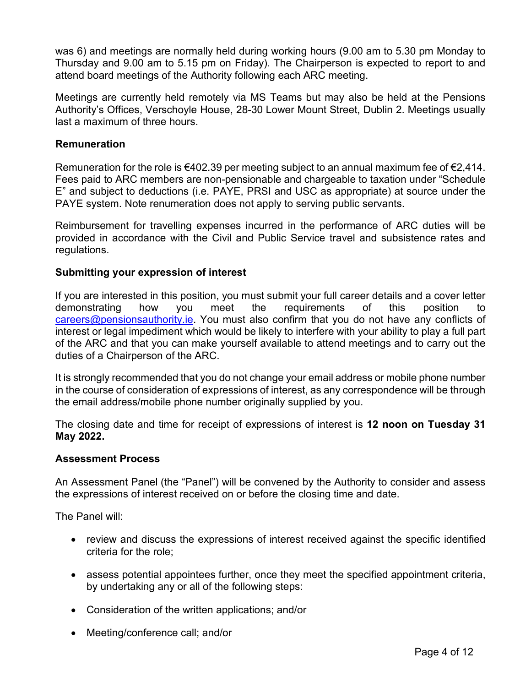was 6) and meetings are normally held during working hours (9.00 am to 5.30 pm Monday to Thursday and 9.00 am to 5.15 pm on Friday). The Chairperson is expected to report to and attend board meetings of the Authority following each ARC meeting.

Meetings are currently held remotely via MS Teams but may also be held at the Pensions Authority's Offices, Verschoyle House, 28-30 Lower Mount Street, Dublin 2. Meetings usually last a maximum of three hours.

## **Remuneration**

Remuneration for the role is €402.39 per meeting subject to an annual maximum fee of €2,414. Fees paid to ARC members are non-pensionable and chargeable to taxation under "Schedule E" and subject to deductions (i.e. PAYE, PRSI and USC as appropriate) at source under the PAYE system. Note renumeration does not apply to serving public servants.

Reimbursement for travelling expenses incurred in the performance of ARC duties will be provided in accordance with the Civil and Public Service travel and subsistence rates and regulations.

## **Submitting your expression of interest**

If you are interested in this position, you must submit your full career details and a cover letter demonstrating how you meet the requirements of this position to [careers@pensionsauthority.ie.](mailto:careers@pensionsauthority.ie) You must also confirm that you do not have any conflicts of interest or legal impediment which would be likely to interfere with your ability to play a full part of the ARC and that you can make yourself available to attend meetings and to carry out the duties of a Chairperson of the ARC.

It is strongly recommended that you do not change your email address or mobile phone number in the course of consideration of expressions of interest, as any correspondence will be through the email address/mobile phone number originally supplied by you.

The closing date and time for receipt of expressions of interest is **12 noon on Tuesday 31 May 2022.** 

## **Assessment Process**

An Assessment Panel (the "Panel") will be convened by the Authority to consider and assess the expressions of interest received on or before the closing time and date.

The Panel will:

- review and discuss the expressions of interest received against the specific identified criteria for the role;
- assess potential appointees further, once they meet the specified appointment criteria, by undertaking any or all of the following steps:
- Consideration of the written applications; and/or
- Meeting/conference call; and/or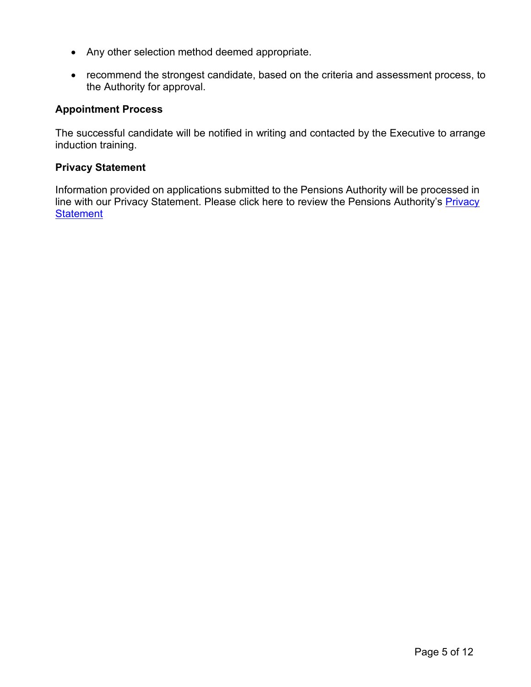- Any other selection method deemed appropriate.
- recommend the strongest candidate, based on the criteria and assessment process, to the Authority for approval.

## **Appointment Process**

The successful candidate will be notified in writing and contacted by the Executive to arrange induction training.

## **Privacy Statement**

Information provided on applications submitted to the Pensions Authority will be processed in line with our [Privacy](https://www.pensionsauthority.ie/en/Privacy_Statement/) Statement. Please click here to review the Pensions Authority's Privacy **[Statement](https://www.pensionsauthority.ie/en/Privacy_Statement/)**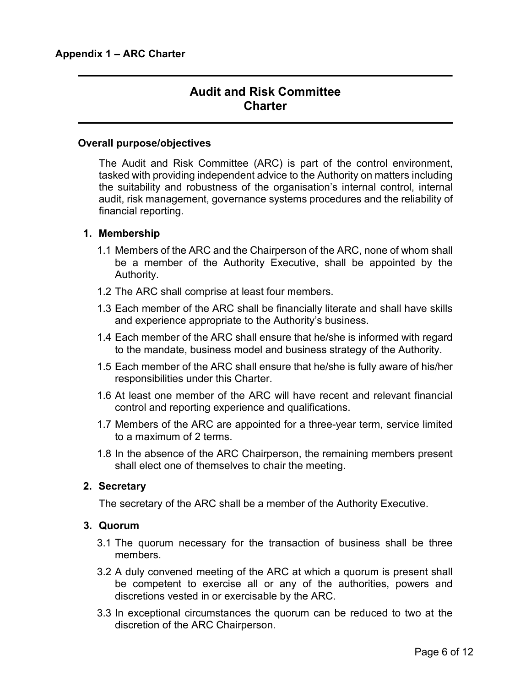# **Audit and Risk Committee Charter**

#### **Overall purpose/objectives**

The Audit and Risk Committee (ARC) is part of the control environment, tasked with providing independent advice to the Authority on matters including the suitability and robustness of the organisation's internal control, internal audit, risk management, governance systems procedures and the reliability of financial reporting.

#### **1. Membership**

- 1.1 Members of the ARC and the Chairperson of the ARC, none of whom shall be a member of the Authority Executive, shall be appointed by the Authority.
- 1.2 The ARC shall comprise at least four members.
- 1.3 Each member of the ARC shall be financially literate and shall have skills and experience appropriate to the Authority's business.
- 1.4 Each member of the ARC shall ensure that he/she is informed with regard to the mandate, business model and business strategy of the Authority.
- 1.5 Each member of the ARC shall ensure that he/she is fully aware of his/her responsibilities under this Charter.
- 1.6 At least one member of the ARC will have recent and relevant financial control and reporting experience and qualifications.
- 1.7 Members of the ARC are appointed for a three-year term, service limited to a maximum of 2 terms.
- 1.8 In the absence of the ARC Chairperson, the remaining members present shall elect one of themselves to chair the meeting.

## **2. Secretary**

The secretary of the ARC shall be a member of the Authority Executive.

#### **3. Quorum**

- 3.1 The quorum necessary for the transaction of business shall be three members.
- 3.2 A duly convened meeting of the ARC at which a quorum is present shall be competent to exercise all or any of the authorities, powers and discretions vested in or exercisable by the ARC.
- 3.3 In exceptional circumstances the quorum can be reduced to two at the discretion of the ARC Chairperson.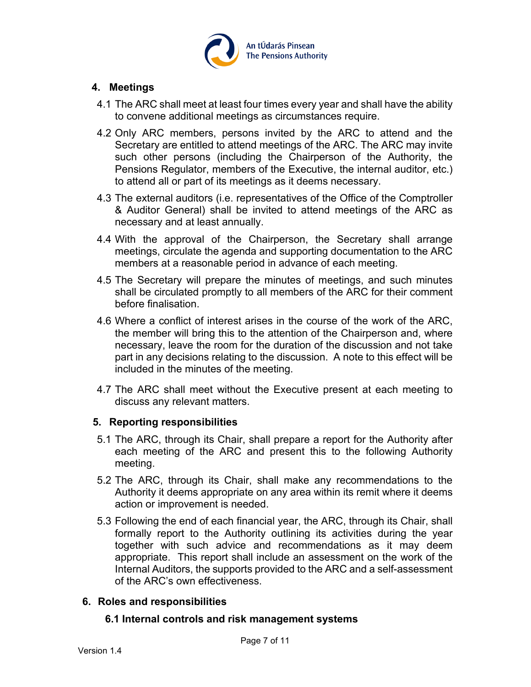

## **4. Meetings**

- 4.1 The ARC shall meet at least four times every year and shall have the ability to convene additional meetings as circumstances require.
- 4.2 Only ARC members, persons invited by the ARC to attend and the Secretary are entitled to attend meetings of the ARC. The ARC may invite such other persons (including the Chairperson of the Authority, the Pensions Regulator, members of the Executive, the internal auditor, etc.) to attend all or part of its meetings as it deems necessary.
- 4.3 The external auditors (i.e. representatives of the Office of the Comptroller & Auditor General) shall be invited to attend meetings of the ARC as necessary and at least annually.
- 4.4 With the approval of the Chairperson, the Secretary shall arrange meetings, circulate the agenda and supporting documentation to the ARC members at a reasonable period in advance of each meeting.
- 4.5 The Secretary will prepare the minutes of meetings, and such minutes shall be circulated promptly to all members of the ARC for their comment before finalisation.
- 4.6 Where a conflict of interest arises in the course of the work of the ARC, the member will bring this to the attention of the Chairperson and, where necessary, leave the room for the duration of the discussion and not take part in any decisions relating to the discussion. A note to this effect will be included in the minutes of the meeting.
- 4.7 The ARC shall meet without the Executive present at each meeting to discuss any relevant matters.

## **5. Reporting responsibilities**

- 5.1 The ARC, through its Chair, shall prepare a report for the Authority after each meeting of the ARC and present this to the following Authority meeting.
- 5.2 The ARC, through its Chair, shall make any recommendations to the Authority it deems appropriate on any area within its remit where it deems action or improvement is needed.
- 5.3 Following the end of each financial year, the ARC, through its Chair, shall formally report to the Authority outlining its activities during the year together with such advice and recommendations as it may deem appropriate. This report shall include an assessment on the work of the Internal Auditors, the supports provided to the ARC and a self-assessment of the ARC's own effectiveness.

## **6. Roles and responsibilities**

#### **6.1 Internal controls and risk management systems**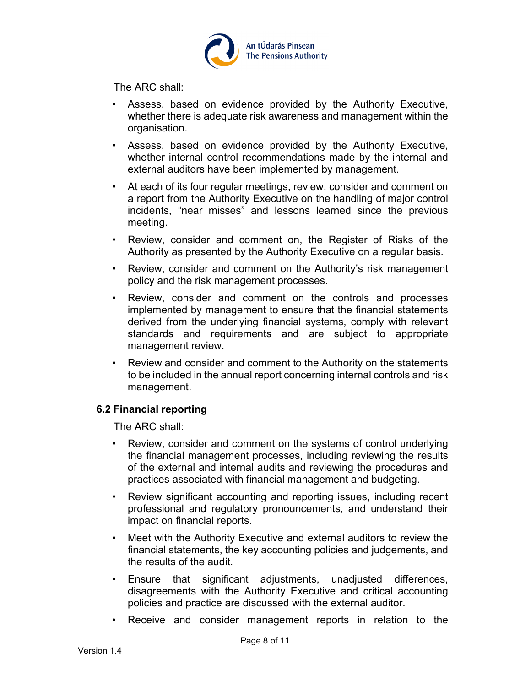

The ARC shall:

- Assess, based on evidence provided by the Authority Executive, whether there is adequate risk awareness and management within the organisation.
- Assess, based on evidence provided by the Authority Executive, whether internal control recommendations made by the internal and external auditors have been implemented by management.
- At each of its four regular meetings, review, consider and comment on a report from the Authority Executive on the handling of major control incidents, "near misses" and lessons learned since the previous meeting.
- Review, consider and comment on, the Register of Risks of the Authority as presented by the Authority Executive on a regular basis.
- Review, consider and comment on the Authority's risk management policy and the risk management processes.
- Review, consider and comment on the controls and processes implemented by management to ensure that the financial statements derived from the underlying financial systems, comply with relevant standards and requirements and are subject to appropriate management review.
- Review and consider and comment to the Authority on the statements to be included in the annual report concerning internal controls and risk management.

## **6.2 Financial reporting**

The ARC shall:

- Review, consider and comment on the systems of control underlying the financial management processes, including reviewing the results of the external and internal audits and reviewing the procedures and practices associated with financial management and budgeting.
- Review significant accounting and reporting issues, including recent professional and regulatory pronouncements, and understand their impact on financial reports.
- Meet with the Authority Executive and external auditors to review the financial statements, the key accounting policies and judgements, and the results of the audit.
- Ensure that significant adjustments, unadjusted differences, disagreements with the Authority Executive and critical accounting policies and practice are discussed with the external auditor.
- Receive and consider management reports in relation to the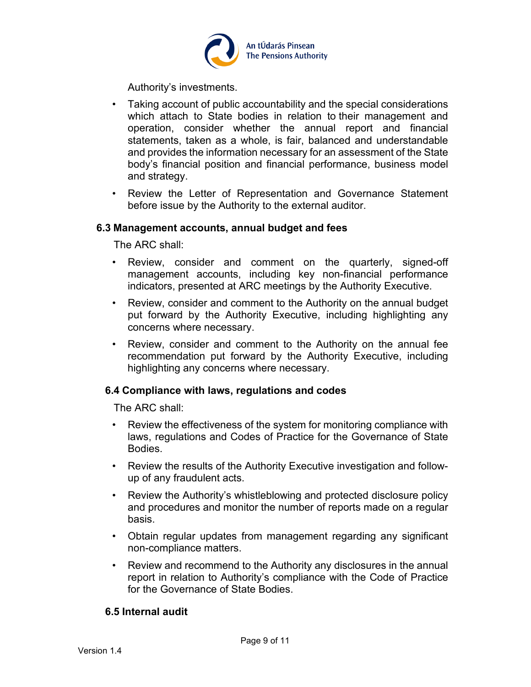

Authority's investments.

- Taking account of public accountability and the special considerations which attach to State bodies in relation to their management and operation, consider whether the annual report and financial statements, taken as a whole, is fair, balanced and understandable and provides the information necessary for an assessment of the State body's financial position and financial performance, business model and strategy.
- Review the Letter of Representation and Governance Statement before issue by the Authority to the external auditor.

#### **6.3 Management accounts, annual budget and fees**

The ARC shall:

- Review, consider and comment on the quarterly, signed-off management accounts, including key non-financial performance indicators, presented at ARC meetings by the Authority Executive.
- Review, consider and comment to the Authority on the annual budget put forward by the Authority Executive, including highlighting any concerns where necessary.
- Review, consider and comment to the Authority on the annual fee recommendation put forward by the Authority Executive, including highlighting any concerns where necessary.

## **6.4 Compliance with laws, regulations and codes**

The ARC shall:

- Review the effectiveness of the system for monitoring compliance with laws, regulations and Codes of Practice for the Governance of State Bodies.
- Review the results of the Authority Executive investigation and followup of any fraudulent acts.
- Review the Authority's whistleblowing and protected disclosure policy and procedures and monitor the number of reports made on a regular basis.
- Obtain regular updates from management regarding any significant non-compliance matters.
- Review and recommend to the Authority any disclosures in the annual report in relation to Authority's compliance with the Code of Practice for the Governance of State Bodies.

## **6.5 Internal audit**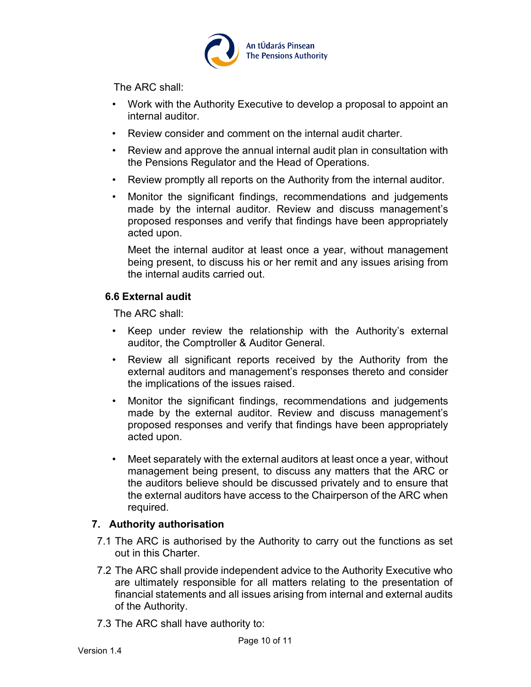

The ARC shall:

- Work with the Authority Executive to develop a proposal to appoint an internal auditor.
- Review consider and comment on the internal audit charter.
- Review and approve the annual internal audit plan in consultation with the Pensions Regulator and the Head of Operations.
- Review promptly all reports on the Authority from the internal auditor.
- Monitor the significant findings, recommendations and judgements made by the internal auditor. Review and discuss management's proposed responses and verify that findings have been appropriately acted upon.

Meet the internal auditor at least once a year, without management being present, to discuss his or her remit and any issues arising from the internal audits carried out.

## **6.6 External audit**

The ARC shall:

- Keep under review the relationship with the Authority's external auditor, the Comptroller & Auditor General.
- Review all significant reports received by the Authority from the external auditors and management's responses thereto and consider the implications of the issues raised.
- Monitor the significant findings, recommendations and judgements made by the external auditor. Review and discuss management's proposed responses and verify that findings have been appropriately acted upon.
- Meet separately with the external auditors at least once a year, without management being present, to discuss any matters that the ARC or the auditors believe should be discussed privately and to ensure that the external auditors have access to the Chairperson of the ARC when required.

# **7. Authority authorisation**

- 7.1 The ARC is authorised by the Authority to carry out the functions as set out in this Charter.
- 7.2 The ARC shall provide independent advice to the Authority Executive who are ultimately responsible for all matters relating to the presentation of financial statements and all issues arising from internal and external audits of the Authority.
- 7.3 The ARC shall have authority to: